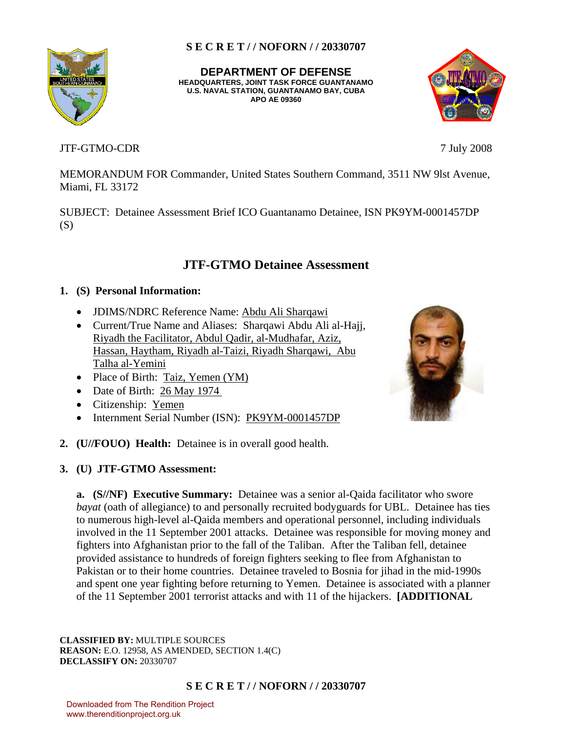**DEPARTMENT OF DEFENSE HEADQUARTERS, JOINT TASK FORCE GUANTANAMO U.S. NAVAL STATION, GUANTANAMO BAY, CUBA APO AE 09360**

# JTF-GTMO-CDR 7 July 2008

MEMORANDUM FOR Commander, United States Southern Command, 3511 NW 9lst Avenue, Miami, FL 33172

SUBJECT: Detainee Assessment Brief ICO Guantanamo Detainee, ISN PK9YM-0001457DP (S)

# **JTF-GTMO Detainee Assessment**

# **1. (S) Personal Information:**

- JDIMS/NDRC Reference Name: Abdu Ali Sharqawi
- Current/True Name and Aliases: Sharqawi Abdu Ali al-Hajj, Riyadh the Facilitator, Abdul Qadir, al-Mudhafar, Aziz, Hassan, Haytham, Riyadh al-Taizi, Riyadh Sharqawi, Abu Talha al-Yemini
- Place of Birth: Taiz, Yemen (YM)
- Date of Birth: 26 May 1974
- Citizenship: Yemen
- Internment Serial Number (ISN): PK9YM-0001457DP
- **2. (U//FOUO) Health:** Detainee is in overall good health.
- **3. (U) JTF-GTMO Assessment:**

**a. (S//NF) Executive Summary:** Detainee was a senior al-Qaida facilitator who swore *bayat* (oath of allegiance) to and personally recruited bodyguards for UBL. Detainee has ties to numerous high-level al-Qaida members and operational personnel, including individuals involved in the 11 September 2001 attacks. Detainee was responsible for moving money and fighters into Afghanistan prior to the fall of the Taliban. After the Taliban fell, detainee provided assistance to hundreds of foreign fighters seeking to flee from Afghanistan to Pakistan or to their home countries. Detainee traveled to Bosnia for jihad in the mid-1990s and spent one year fighting before returning to Yemen. Detainee is associated with a planner of the 11 September 2001 terrorist attacks and with 11 of the hijackers. **[ADDITIONAL** 

**CLASSIFIED BY:** MULTIPLE SOURCES **REASON:** E.O. 12958, AS AMENDED, SECTION 1.4(C) **DECLASSIFY ON:** 20330707

# **S E C R E T / / NOFORN / / 20330707**

Downloaded from The Rendition Project www.therenditionproject.org.uk



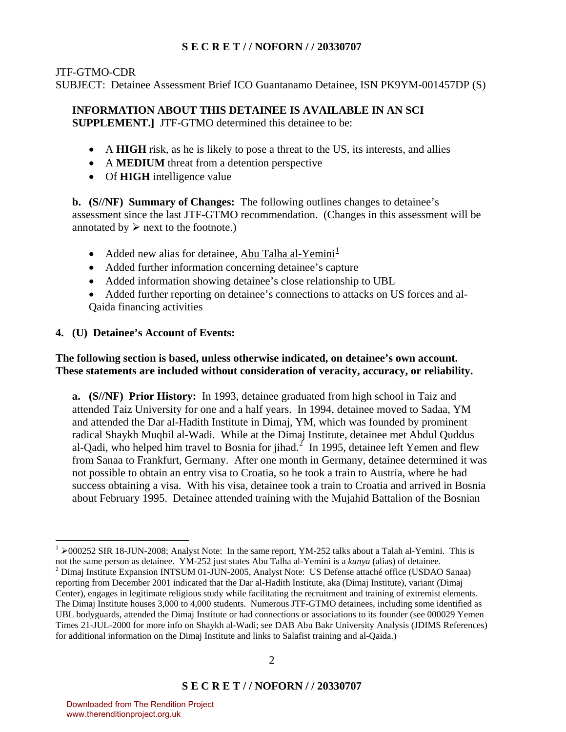## JTF-GTMO-CDR

SUBJECT: Detainee Assessment Brief ICO Guantanamo Detainee, ISN PK9YM-001457DP (S)

# **INFORMATION ABOUT THIS DETAINEE IS AVAILABLE IN AN SCI**

**SUPPLEMENT.]** JTF-GTMO determined this detainee to be:

- A **HIGH** risk, as he is likely to pose a threat to the US, its interests, and allies
- A **MEDIUM** threat from a detention perspective
- Of **HIGH** intelligence value

**b. (S//NF) Summary of Changes:** The following outlines changes to detainee's assessment since the last JTF-GTMO recommendation. (Changes in this assessment will be annotated by  $\triangleright$  next to the footnote.)

- Added new alias for detainee, Abu Talha al-Yemini<sup> $\perp$ </sup>
- Added further information concerning detainee's capture
- Added information showing detainee's close relationship to UBL
- Added further reporting on detainee's connections to attacks on US forces and al-Qaida financing activities

# **4. (U) Detainee's Account of Events:**

# **The following section is based, unless otherwise indicated, on detainee's own account. These statements are included without consideration of veracity, accuracy, or reliability.**

**a. (S//NF) Prior History:** In 1993, detainee graduated from high school in Taiz and attended Taiz University for one and a half years. In 1994, detainee moved to Sadaa, YM and attended the Dar al-Hadith Institute in Dimaj, YM, which was founded by prominent radical Shaykh Muqbil al-Wadi. While at the Dimaj Institute, detainee met Abdul Quddus al-Qadi, who helped him travel to Bosnia for jihad.<sup>[2](#page-1-1)</sup> In 1995, detainee left Yemen and flew from Sanaa to Frankfurt, Germany. After one month in Germany, detainee determined it was not possible to obtain an entry visa to Croatia, so he took a train to Austria, where he had success obtaining a visa. With his visa, detainee took a train to Croatia and arrived in Bosnia about February 1995. Detainee attended training with the Mujahid Battalion of the Bosnian

<span id="page-1-1"></span><span id="page-1-0"></span> $1 \geq 000252$  SIR 18-JUN-2008; Analyst Note: In the same report, YM-252 talks about a Talah al-Yemini. This is not the same person as detainee. YM-252 just states Abu Talha al-Yemini is a *kunya* (alias) of detainee. 2 <sup>2</sup> Dimaj Institute Expansion INTSUM 01-JUN-2005, Analyst Note: US Defense attaché office (USDAO Sanaa) reporting from December 2001 indicated that the Dar al-Hadith Institute, aka (Dimaj Institute), variant (Dimaj Center), engages in legitimate religious study while facilitating the recruitment and training of extremist elements. The Dimaj Institute houses 3,000 to 4,000 students. Numerous JTF-GTMO detainees, including some identified as UBL bodyguards, attended the Dimaj Institute or had connections or associations to its founder (see 000029 Yemen Times 21-JUL-2000 for more info on Shaykh al-Wadi; see DAB Abu Bakr University Analysis (JDIMS References) for additional information on the Dimaj Institute and links to Salafist training and al-Qaida.)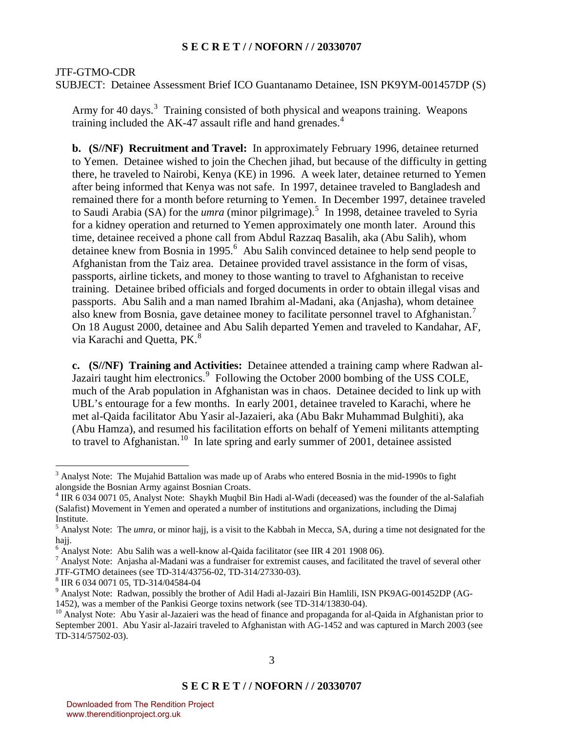#### JTF-GTMO-CDR

SUBJECT: Detainee Assessment Brief ICO Guantanamo Detainee, ISN PK9YM-001457DP (S)

Army for 40 days.<sup>[3](#page-2-0)</sup> Training consisted of both physical and weapons training. Weapons training included the AK-[4](#page-2-1)7 assault rifle and hand grenades.<sup>4</sup>

**b. (S//NF) Recruitment and Travel:** In approximately February 1996, detainee returned to Yemen. Detainee wished to join the Chechen jihad, but because of the difficulty in getting there, he traveled to Nairobi, Kenya (KE) in 1996. A week later, detainee returned to Yemen after being informed that Kenya was not safe. In 1997, detainee traveled to Bangladesh and remained there for a month before returning to Yemen. In December 1997, detainee traveled to Saudi Arabia (SA) for the *umra* (minor pilgrimage).<sup>[5](#page-2-2)</sup> In 1998, detainee traveled to Syria for a kidney operation and returned to Yemen approximately one month later. Around this time, detainee received a phone call from Abdul Razzaq Basalih, aka (Abu Salih), whom detainee knew from Bosnia in 1995.<sup>[6](#page-2-3)</sup> Abu Salih convinced detainee to help send people to Afghanistan from the Taiz area. Detainee provided travel assistance in the form of visas, passports, airline tickets, and money to those wanting to travel to Afghanistan to receive training. Detainee bribed officials and forged documents in order to obtain illegal visas and passports. Abu Salih and a man named Ibrahim al-Madani, aka (Anjasha), whom detainee also knew from Bosnia, gave detainee money to facilitate personnel travel to Afghanistan.<sup>[7](#page-2-4)</sup> On 18 August 2000, detainee and Abu Salih departed Yemen and traveled to Kandahar, AF, via Karachi and Quetta, PK.<sup>[8](#page-2-5)</sup>

**c. (S//NF) Training and Activities:** Detainee attended a training camp where Radwan al-Jazairi taught him electronics.<sup>[9](#page-2-6)</sup> Following the October 2000 bombing of the USS COLE, much of the Arab population in Afghanistan was in chaos. Detainee decided to link up with UBL's entourage for a few months. In early 2001, detainee traveled to Karachi, where he met al-Qaida facilitator Abu Yasir al-Jazaieri, aka (Abu Bakr Muhammad Bulghiti), aka (Abu Hamza), and resumed his facilitation efforts on behalf of Yemeni militants attempting to travel to Afghanistan.<sup>[10](#page-2-7)</sup> In late spring and early summer of 2001, detainee assisted

<span id="page-2-0"></span> $3$  Analyst Note: The Mujahid Battalion was made up of Arabs who entered Bosnia in the mid-1990s to fight alongside the Bosnian Army against Bosnian Croats.

<span id="page-2-1"></span> $4$  IIR 6 034 0071 05, Analyst Note: Shaykh Muqbil Bin Hadi al-Wadi (deceased) was the founder of the al-Salafiah (Salafist) Movement in Yemen and operated a number of institutions and organizations, including the Dimaj Institute.

<span id="page-2-2"></span><sup>&</sup>lt;sup>5</sup> Analyst Note: The *umra*, or minor hajj, is a visit to the Kabbah in Mecca, SA, during a time not designated for the hajj.

<sup>&</sup>lt;sup>6</sup> Analyst Note: Abu Salih was a well-know al-Qaida facilitator (see IIR 4 201 1908 06).

<span id="page-2-4"></span><span id="page-2-3"></span><sup>&</sup>lt;sup>7</sup> Analyst Note: Anjasha al-Madani was a fundraiser for extremist causes, and facilitated the travel of several other JTF-GTMO detainees (see TD-314/43756-02, TD-314/27330-03).

<span id="page-2-5"></span><sup>8</sup> IIR 6 034 0071 05, TD-314/04584-04

<span id="page-2-6"></span><sup>&</sup>lt;sup>9</sup> Analyst Note: Radwan, possibly the brother of Adil Hadi al-Jazairi Bin Hamlili, ISN PK9AG-001452DP (AG-1452), was a member of the Pankisi George toxins network (see TD-314/13830-04).

<span id="page-2-7"></span><sup>&</sup>lt;sup>10</sup> Analyst Note: Abu Yasir al-Jazaieri was the head of finance and propaganda for al-Qaida in Afghanistan prior to September 2001. Abu Yasir al-Jazairi traveled to Afghanistan with AG-1452 and was captured in March 2003 (see TD-314/57502-03).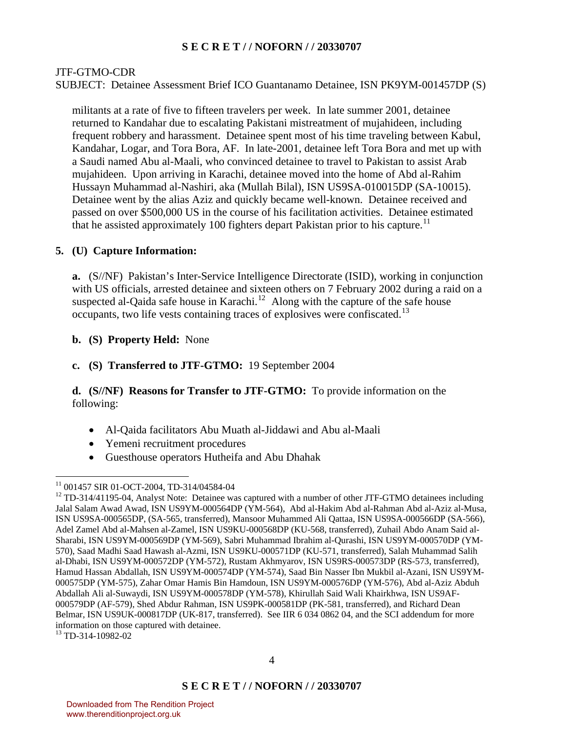### JTF-GTMO-CDR

SUBJECT: Detainee Assessment Brief ICO Guantanamo Detainee, ISN PK9YM-001457DP (S)

militants at a rate of five to fifteen travelers per week. In late summer 2001, detainee returned to Kandahar due to escalating Pakistani mistreatment of mujahideen, including frequent robbery and harassment. Detainee spent most of his time traveling between Kabul, Kandahar, Logar, and Tora Bora, AF. In late-2001, detainee left Tora Bora and met up with a Saudi named Abu al-Maali, who convinced detainee to travel to Pakistan to assist Arab mujahideen. Upon arriving in Karachi, detainee moved into the home of Abd al-Rahim Hussayn Muhammad al-Nashiri, aka (Mullah Bilal), ISN US9SA-010015DP (SA-10015). Detainee went by the alias Aziz and quickly became well-known. Detainee received and passed on over \$500,000 US in the course of his facilitation activities. Detainee estimated that he assisted approximately 100 fighters depart Pakistan prior to his capture.<sup>[11](#page-3-0)</sup>

#### **5. (U) Capture Information:**

**a.** (S//NF) Pakistan's Inter-Service Intelligence Directorate (ISID), working in conjunction with US officials, arrested detainee and sixteen others on 7 February 2002 during a raid on a suspected al-Qaida safe house in Karachi.<sup>[12](#page-3-1)</sup> Along with the capture of the safe house occupants, two life vests containing traces of explosives were confiscated.<sup>[13](#page-3-2)</sup>

**b. (S) Property Held:** None

### **c. (S) Transferred to JTF-GTMO:** 19 September 2004

# **d. (S//NF) Reasons for Transfer to JTF-GTMO:** To provide information on the following:

- Al-Qaida facilitators Abu Muath al-Jiddawi and Abu al-Maali
- Yemeni recruitment procedures
- Guesthouse operators Hutheifa and Abu Dhahak

<span id="page-3-0"></span><sup>11 001457</sup> SIR 01-OCT-2004, TD-314/04584-04

<span id="page-3-1"></span><sup>&</sup>lt;sup>12</sup> TD-314/41195-04, Analyst Note: Detainee was captured with a number of other JTF-GTMO detainees including Jalal Salam Awad Awad, ISN US9YM-000564DP (YM-564), Abd al-Hakim Abd al-Rahman Abd al-Aziz al-Musa, ISN US9SA-000565DP, (SA-565, transferred), Mansoor Muhammed Ali Qattaa, ISN US9SA-000566DP (SA-566), Adel Zamel Abd al-Mahsen al-Zamel, ISN US9KU-000568DP (KU-568, transferred), Zuhail Abdo Anam Said al-Sharabi, ISN US9YM-000569DP (YM-569), Sabri Muhammad Ibrahim al-Qurashi, ISN US9YM-000570DP (YM-570), Saad Madhi Saad Hawash al-Azmi, ISN US9KU-000571DP (KU-571, transferred), Salah Muhammad Salih al-Dhabi, ISN US9YM-000572DP (YM-572), Rustam Akhmyarov, ISN US9RS-000573DP (RS-573, transferred), Hamud Hassan Abdallah, ISN US9YM-000574DP (YM-574), Saad Bin Nasser Ibn Mukbil al-Azani, ISN US9YM-000575DP (YM-575), Zahar Omar Hamis Bin Hamdoun, ISN US9YM-000576DP (YM-576), Abd al-Aziz Abduh Abdallah Ali al-Suwaydi, ISN US9YM-000578DP (YM-578), Khirullah Said Wali Khairkhwa, ISN US9AF-000579DP (AF-579), Shed Abdur Rahman, ISN US9PK-000581DP (PK-581, transferred), and Richard Dean Belmar, ISN US9UK-000817DP (UK-817, transferred). See IIR 6 034 0862 04, and the SCI addendum for more information on those captured with detainee.

<span id="page-3-2"></span><sup>13</sup> TD-314-10982-02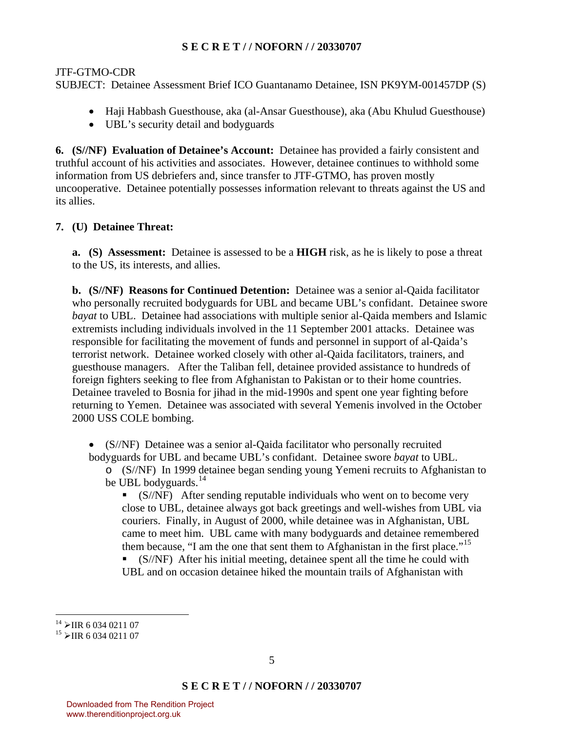JTF-GTMO-CDR

SUBJECT: Detainee Assessment Brief ICO Guantanamo Detainee, ISN PK9YM-001457DP (S)

- Haji Habbash Guesthouse, aka (al-Ansar Guesthouse), aka (Abu Khulud Guesthouse)
- UBL's security detail and bodyguards

**6. (S//NF) Evaluation of Detainee's Account:** Detainee has provided a fairly consistent and truthful account of his activities and associates. However, detainee continues to withhold some information from US debriefers and, since transfer to JTF-GTMO, has proven mostly uncooperative. Detainee potentially possesses information relevant to threats against the US and its allies.

# **7. (U) Detainee Threat:**

**a. (S) Assessment:** Detainee is assessed to be a **HIGH** risk, as he is likely to pose a threat to the US, its interests, and allies.

**b. (S//NF) Reasons for Continued Detention:** Detainee was a senior al-Qaida facilitator who personally recruited bodyguards for UBL and became UBL's confidant. Detainee swore *bayat* to UBL. Detainee had associations with multiple senior al-Qaida members and Islamic extremists including individuals involved in the 11 September 2001 attacks. Detainee was responsible for facilitating the movement of funds and personnel in support of al-Qaida's terrorist network. Detainee worked closely with other al-Qaida facilitators, trainers, and guesthouse managers. After the Taliban fell, detainee provided assistance to hundreds of foreign fighters seeking to flee from Afghanistan to Pakistan or to their home countries. Detainee traveled to Bosnia for jihad in the mid-1990s and spent one year fighting before returning to Yemen. Detainee was associated with several Yemenis involved in the October 2000 USS COLE bombing.

• (S//NF) Detainee was a senior al-Qaida facilitator who personally recruited bodyguards for UBL and became UBL's confidant. Detainee swore *bayat* to UBL.

o (S//NF) In 1999 detainee began sending young Yemeni recruits to Afghanistan to be UBL bodyguards.<sup>[14](#page-4-0)</sup>

 $\blacksquare$  (S/NF) After sending reputable individuals who went on to become very close to UBL, detainee always got back greetings and well-wishes from UBL via couriers. Finally, in August of 2000, while detainee was in Afghanistan, UBL came to meet him. UBL came with many bodyguards and detainee remembered them because, "I am the one that sent them to Afghanistan in the first place."<sup>[15](#page-4-1)</sup>

 $\bullet$  (S/NF) After his initial meeting, detainee spent all the time he could with UBL and on occasion detainee hiked the mountain trails of Afghanistan with

<span id="page-4-0"></span> $\overline{a}$ <sup>14</sup> >IIR 6 034 0211 07<br><sup>15</sup> >IIR 6 034 0211 07

<span id="page-4-1"></span>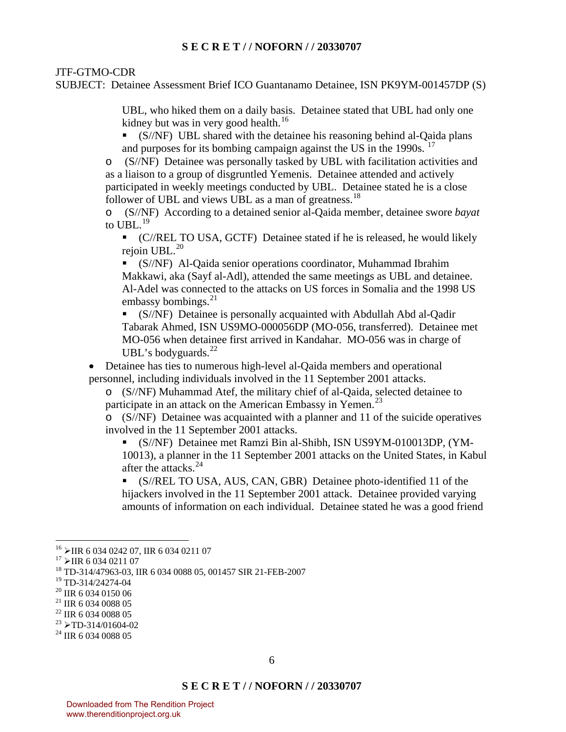JTF-GTMO-CDR

SUBJECT: Detainee Assessment Brief ICO Guantanamo Detainee, ISN PK9YM-001457DP (S)

UBL, who hiked them on a daily basis. Detainee stated that UBL had only one kidney but was in very good health.<sup>[16](#page-5-0)</sup>

 (S//NF) UBL shared with the detainee his reasoning behind al-Qaida plans and purposes for its bombing campaign against the US in the 1990s. <sup>[17](#page-5-1)</sup>

o (S//NF) Detainee was personally tasked by UBL with facilitation activities and as a liaison to a group of disgruntled Yemenis. Detainee attended and actively participated in weekly meetings conducted by UBL. Detainee stated he is a close follower of UBL and views UBL as a man of greatness.<sup>[18](#page-5-2)</sup>

o (S//NF) According to a detained senior al-Qaida member, detainee swore *bayat* to UBL $^{19}$  $^{19}$  $^{19}$ 

 (C//REL TO USA, GCTF) Detainee stated if he is released, he would likely rejoin UBL.<sup>[20](#page-5-4)</sup>

 (S//NF) Al-Qaida senior operations coordinator, Muhammad Ibrahim Makkawi, aka (Sayf al-Adl), attended the same meetings as UBL and detainee. Al-Adel was connected to the attacks on US forces in Somalia and the 1998 US embassy bombings. $^{21}$  $^{21}$  $^{21}$ 

 (S//NF) Detainee is personally acquainted with Abdullah Abd al-Qadir Tabarak Ahmed, ISN US9MO-000056DP (MO-056, transferred). Detainee met MO-056 when detainee first arrived in Kandahar. MO-056 was in charge of UBL's bodyguards. $^{22}$  $^{22}$  $^{22}$ 

• Detainee has ties to numerous high-level al-Qaida members and operational personnel, including individuals involved in the 11 September 2001 attacks.

o (S//NF) Muhammad Atef, the military chief of al-Qaida, selected detainee to participate in an attack on the American Embassy in Yemen.<sup>[23](#page-5-7)</sup>

o (S//NF) Detainee was acquainted with a planner and 11 of the suicide operatives involved in the 11 September 2001 attacks.

(S//NF) Detainee met Ramzi Bin al-Shibh, ISN US9YM-010013DP, (YM-

10013), a planner in the 11 September 2001 attacks on the United States, in Kabul after the attacks.<sup>[24](#page-5-8)</sup>

 (S//REL TO USA, AUS, CAN, GBR) Detainee photo-identified 11 of the hijackers involved in the 11 September 2001 attack. Detainee provided varying amounts of information on each individual. Detainee stated he was a good friend

<span id="page-5-1"></span>

<span id="page-5-0"></span><sup>&</sup>lt;sup>16</sup>  $\geq$ IIR 6 034 0242 07, IIR 6 034 0211 07<br><sup>17</sup>  $\geq$ IIR 6 034 0211 07<br><sup>18</sup> TD-314/47963-03, IIR 6 034 0088 05, 001457 SIR 21-FEB-2007

<span id="page-5-3"></span><span id="page-5-2"></span><sup>19</sup> TD-314/24274-04

<span id="page-5-4"></span><sup>20</sup> IIR 6 034 0150 06

<span id="page-5-5"></span><sup>&</sup>lt;sup>21</sup> IIR 6 034 0088 05

<span id="page-5-6"></span><sup>22</sup> IIR 6 034 0088 05

<span id="page-5-7"></span> $^{23}$   $\triangleright$ TD-314/01604-02<br><sup>24</sup> IIR 6 034 0088 05

<span id="page-5-8"></span>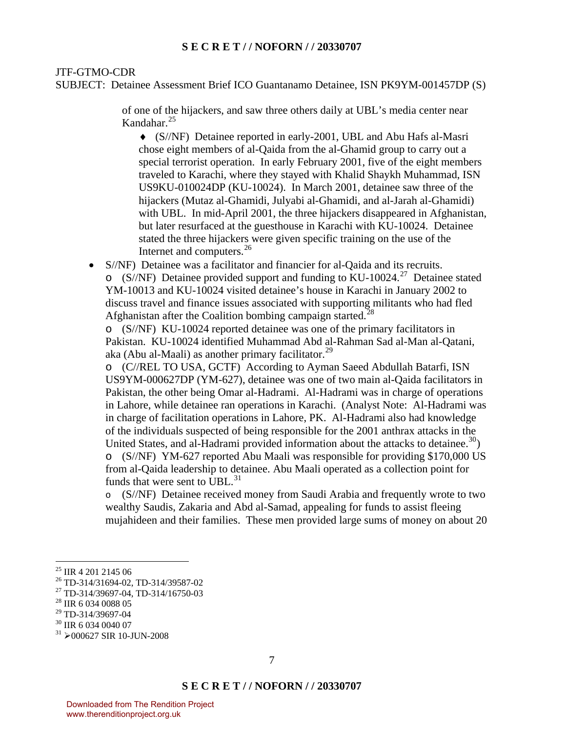#### JTF-GTMO-CDR

SUBJECT: Detainee Assessment Brief ICO Guantanamo Detainee, ISN PK9YM-001457DP (S)

of one of the hijackers, and saw three others daily at UBL's media center near Kandahar.[25](#page-6-0)

♦ (S//NF) Detainee reported in early-2001, UBL and Abu Hafs al-Masri chose eight members of al-Qaida from the al-Ghamid group to carry out a special terrorist operation. In early February 2001, five of the eight members traveled to Karachi, where they stayed with Khalid Shaykh Muhammad, ISN US9KU-010024DP (KU-10024). In March 2001, detainee saw three of the hijackers (Mutaz al-Ghamidi, Julyabi al-Ghamidi, and al-Jarah al-Ghamidi) with UBL. In mid-April 2001, the three hijackers disappeared in Afghanistan, but later resurfaced at the guesthouse in Karachi with KU-10024. Detainee stated the three hijackers were given specific training on the use of the Internet and computers.<sup>[26](#page-6-1)</sup>

• S//NF) Detainee was a facilitator and financier for al-Qaida and its recruits.  $\circ$  (S//NF) Detainee provided support and funding to KU-10024.<sup>[27](#page-6-2)</sup> Detainee stated YM-10013 and KU-10024 visited detainee's house in Karachi in January 2002 to discuss travel and finance issues associated with supporting militants who had fled Afghanistan after the Coalition bombing campaign started.<sup>[28](#page-6-3)</sup>

o (S//NF) KU-10024 reported detainee was one of the primary facilitators in Pakistan. KU-10024 identified Muhammad Abd al-Rahman Sad al-Man al-Qatani, aka (Abu al-Maali) as another primary facilitator.<sup>[29](#page-6-4)</sup>

o (C//REL TO USA, GCTF) According to Ayman Saeed Abdullah Batarfi, ISN US9YM-000627DP (YM-627), detainee was one of two main al-Qaida facilitators in Pakistan, the other being Omar al-Hadrami. Al-Hadrami was in charge of operations in Lahore, while detainee ran operations in Karachi. (Analyst Note: Al-Hadrami was in charge of facilitation operations in Lahore, PK. Al-Hadrami also had knowledge of the individuals suspected of being responsible for the 2001 anthrax attacks in the United States, and al-Hadrami provided information about the attacks to detainee.<sup>[30](#page-6-5)</sup>) o (S//NF) YM-627 reported Abu Maali was responsible for providing \$170,000 US from al-Qaida leadership to detainee. Abu Maali operated as a collection point for funds that were sent to UBL.<sup>[31](#page-6-6)</sup>

o (S//NF) Detainee received money from Saudi Arabia and frequently wrote to two wealthy Saudis, Zakaria and Abd al-Samad, appealing for funds to assist fleeing mujahideen and their families. These men provided large sums of money on about 20

<span id="page-6-0"></span><sup>&</sup>lt;sup>25</sup> IIR 4 201 2145 06

<span id="page-6-1"></span><sup>26</sup> TD-314/31694-02, TD-314/39587-02

<span id="page-6-2"></span><sup>27</sup> TD-314/39697-04, TD-314/16750-03

<span id="page-6-3"></span><sup>&</sup>lt;sup>28</sup> IIR 6 034 0088 05

<span id="page-6-4"></span><sup>29</sup> TD-314/39697-04

<span id="page-6-5"></span><sup>&</sup>lt;sup>30</sup> IIR 6 034 0040 07

<span id="page-6-6"></span> $31$   $\geq$  000627 SIR 10-JUN-2008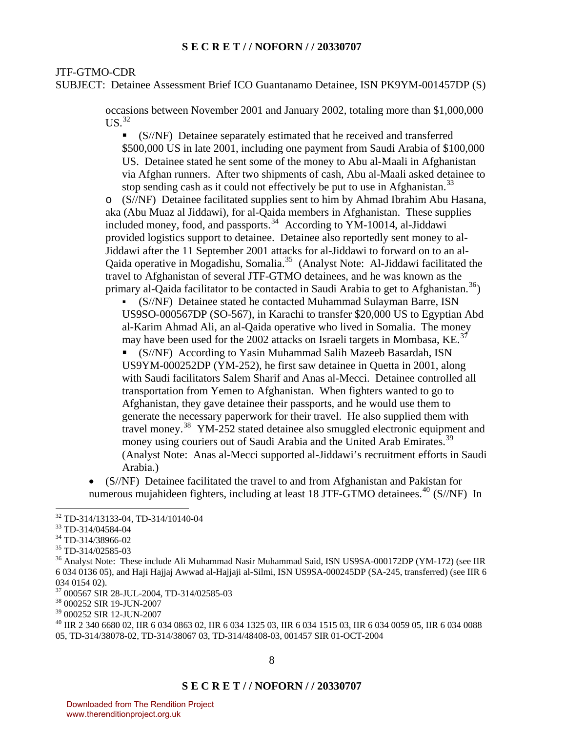#### JTF-GTMO-CDR

SUBJECT: Detainee Assessment Brief ICO Guantanamo Detainee, ISN PK9YM-001457DP (S)

occasions between November 2001 and January 2002, totaling more than \$1,000,000  $US.<sup>32</sup>$  $US.<sup>32</sup>$  $US.<sup>32</sup>$ 

 (S//NF) Detainee separately estimated that he received and transferred \$500,000 US in late 2001, including one payment from Saudi Arabia of \$100,000 US. Detainee stated he sent some of the money to Abu al-Maali in Afghanistan via Afghan runners. After two shipments of cash, Abu al-Maali asked detainee to stop sending cash as it could not effectively be put to use in Afghanistan.<sup>[33](#page-7-1)</sup>

o (S//NF) Detainee facilitated supplies sent to him by Ahmad Ibrahim Abu Hasana, aka (Abu Muaz al Jiddawi), for al-Qaida members in Afghanistan. These supplies included money, food, and passports.<sup>[34](#page-7-2)</sup> According to YM-10014, al-Jiddawi provided logistics support to detainee. Detainee also reportedly sent money to al-Jiddawi after the 11 September 2001 attacks for al-Jiddawi to forward on to an al-Qaida operative in Mogadishu, Somalia.[35](#page-7-3) (Analyst Note: Al-Jiddawi facilitated the travel to Afghanistan of several JTF-GTMO detainees, and he was known as the primary al-Qaida facilitator to be contacted in Saudi Arabia to get to Afghanistan.<sup>[36](#page-7-4)</sup>)

 (S//NF) Detainee stated he contacted Muhammad Sulayman Barre, ISN US9SO-000567DP (SO-567), in Karachi to transfer \$20,000 US to Egyptian Abd al-Karim Ahmad Ali, an al-Qaida operative who lived in Somalia. The money may have been used for the 2002 attacks on Israeli targets in Mombasa, KE.<sup>[37](#page-7-5)</sup>

 (S//NF) According to Yasin Muhammad Salih Mazeeb Basardah, ISN US9YM-000252DP (YM-252), he first saw detainee in Quetta in 2001, along with Saudi facilitators Salem Sharif and Anas al-Mecci. Detainee controlled all transportation from Yemen to Afghanistan. When fighters wanted to go to Afghanistan, they gave detainee their passports, and he would use them to generate the necessary paperwork for their travel. He also supplied them with travel money.<sup>[38](#page-7-6)</sup> YM-252 stated detainee also smuggled electronic equipment and money using couriers out of Saudi Arabia and the United Arab Emirates.<sup>[39](#page-7-7)</sup> (Analyst Note: Anas al-Mecci supported al-Jiddawi's recruitment efforts in Saudi Arabia.)

• (S//NF) Detainee facilitated the travel to and from Afghanistan and Pakistan for numerous mujahideen fighters, including at least 18 JTF-GTMO detainees.<sup>[40](#page-7-8)</sup> (S//NF) In

 $\overline{a}$ 

<span id="page-7-8"></span>40 IIR 2 340 6680 02, IIR 6 034 0863 02, IIR 6 034 1325 03, IIR 6 034 1515 03, IIR 6 034 0059 05, IIR 6 034 0088 05, TD-314/38078-02, TD-314/38067 03, TD-314/48408-03, 001457 SIR 01-OCT-2004

<span id="page-7-0"></span><sup>32</sup> TD-314/13133-04, TD-314/10140-04

<span id="page-7-1"></span><sup>33</sup> TD-314/04584-04

<span id="page-7-2"></span><sup>34</sup> TD-314/38966-02

<span id="page-7-3"></span><sup>35</sup> TD-314/02585-03

<span id="page-7-4"></span><sup>&</sup>lt;sup>36</sup> Analyst Note: These include Ali Muhammad Nasir Muhammad Said, ISN US9SA-000172DP (YM-172) (see IIR 6 034 0136 05), and Haji Hajjaj Awwad al-Hajjaji al-Silmi, ISN US9SA-000245DP (SA-245, transferred) (see IIR 6 034 0154 02).

<span id="page-7-5"></span><sup>37 000567</sup> SIR 28-JUL-2004, TD-314/02585-03

<span id="page-7-6"></span><sup>38 000252</sup> SIR 19-JUN-2007

<span id="page-7-7"></span><sup>39 000252</sup> SIR 12-JUN-2007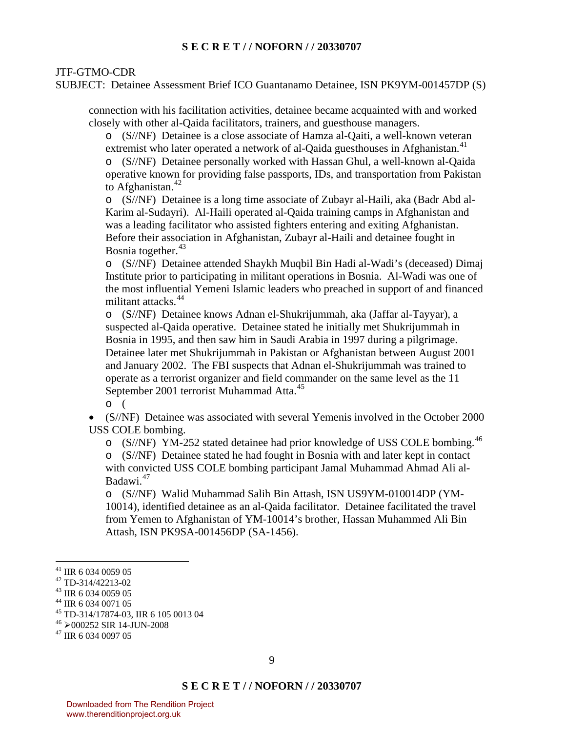# JTF-GTMO-CDR

SUBJECT: Detainee Assessment Brief ICO Guantanamo Detainee, ISN PK9YM-001457DP (S)

connection with his facilitation activities, detainee became acquainted with and worked closely with other al-Qaida facilitators, trainers, and guesthouse managers.

o (S//NF) Detainee is a close associate of Hamza al-Qaiti, a well-known veteran extremist who later operated a network of al-Qaida guesthouses in Afghanistan.<sup>[41](#page-8-0)</sup>

o (S//NF) Detainee personally worked with Hassan Ghul, a well-known al-Qaida operative known for providing false passports, IDs, and transportation from Pakistan to Afghanistan. $42$ 

o (S//NF) Detainee is a long time associate of Zubayr al-Haili, aka (Badr Abd al-Karim al-Sudayri). Al-Haili operated al-Qaida training camps in Afghanistan and was a leading facilitator who assisted fighters entering and exiting Afghanistan. Before their association in Afghanistan, Zubayr al-Haili and detainee fought in Bosnia together. $43$ 

o (S//NF) Detainee attended Shaykh Muqbil Bin Hadi al-Wadi's (deceased) Dimaj Institute prior to participating in militant operations in Bosnia. Al-Wadi was one of the most influential Yemeni Islamic leaders who preached in support of and financed militant attacks.<sup>[44](#page-8-3)</sup>

o (S//NF) Detainee knows Adnan el-Shukrijummah, aka (Jaffar al-Tayyar), a suspected al-Qaida operative. Detainee stated he initially met Shukrijummah in Bosnia in 1995, and then saw him in Saudi Arabia in 1997 during a pilgrimage. Detainee later met Shukrijummah in Pakistan or Afghanistan between August 2001 and January 2002. The FBI suspects that Adnan el-Shukrijummah was trained to operate as a terrorist organizer and field commander on the same level as the 11 September 2001 terrorist Muhammad Atta.<sup>[45](#page-8-4)</sup>

o (

• (S//NF) Detainee was associated with several Yemenis involved in the October 2000 USS COLE bombing.

o (S//NF) YM-252 stated detainee had prior knowledge of USS COLE bombing.<sup>[46](#page-8-5)</sup> o (S//NF) Detainee stated he had fought in Bosnia with and later kept in contact with convicted USS COLE bombing participant Jamal Muhammad Ahmad Ali al-Badawi.[47](#page-8-6)

o (S//NF) Walid Muhammad Salih Bin Attash, ISN US9YM-010014DP (YM-10014), identified detainee as an al-Qaida facilitator. Detainee facilitated the travel from Yemen to Afghanistan of YM-10014's brother, Hassan Muhammed Ali Bin Attash, ISN PK9SA-001456DP (SA-1456).

<span id="page-8-0"></span><sup>41</sup> IIR 6 034 0059 05

<span id="page-8-1"></span><sup>42</sup> TD-314/42213-02

<span id="page-8-2"></span><sup>43</sup> IIR 6 034 0059 05

<span id="page-8-3"></span><sup>44</sup> IIR 6 034 0071 05

<span id="page-8-4"></span><sup>45</sup> TD-314/17874-03, IIR 6 105 0013 04

<span id="page-8-5"></span> $46$   $\geq$  000252 SIR 14-JUN-2008<br> $47$  IIR 6 034 0097 05

<span id="page-8-6"></span>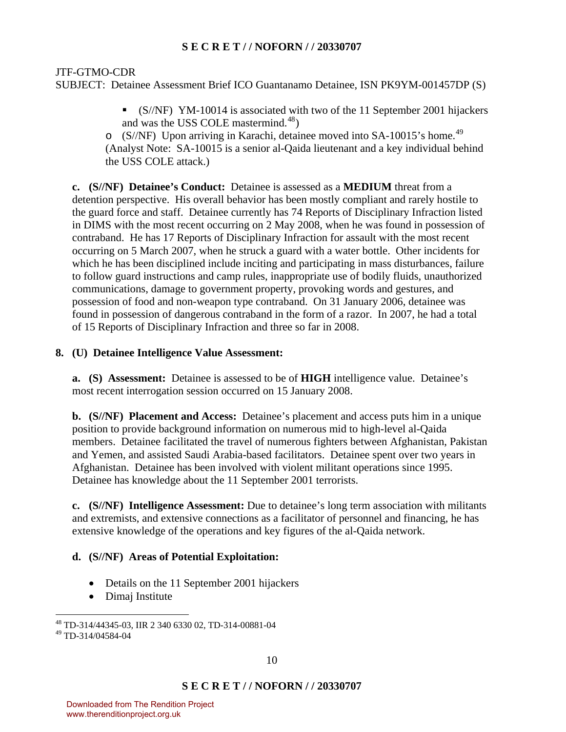JTF-GTMO-CDR

SUBJECT: Detainee Assessment Brief ICO Guantanamo Detainee, ISN PK9YM-001457DP (S)

 (S//NF) YM-10014 is associated with two of the 11 September 2001 hijackers and was the USS COLE mastermind.<sup>[48](#page-9-0)</sup>)

o (S//NF) Upon arriving in Karachi, detainee moved into SA-10015's home.<sup>[49](#page-9-1)</sup> (Analyst Note: SA-10015 is a senior al-Qaida lieutenant and a key individual behind the USS COLE attack.)

**c. (S//NF) Detainee's Conduct:** Detainee is assessed as a **MEDIUM** threat from a detention perspective. His overall behavior has been mostly compliant and rarely hostile to the guard force and staff. Detainee currently has 74 Reports of Disciplinary Infraction listed in DIMS with the most recent occurring on 2 May 2008, when he was found in possession of contraband. He has 17 Reports of Disciplinary Infraction for assault with the most recent occurring on 5 March 2007, when he struck a guard with a water bottle. Other incidents for which he has been disciplined include inciting and participating in mass disturbances, failure to follow guard instructions and camp rules, inappropriate use of bodily fluids, unauthorized communications, damage to government property, provoking words and gestures, and possession of food and non-weapon type contraband. On 31 January 2006, detainee was found in possession of dangerous contraband in the form of a razor. In 2007, he had a total of 15 Reports of Disciplinary Infraction and three so far in 2008.

# **8. (U) Detainee Intelligence Value Assessment:**

**a. (S) Assessment:** Detainee is assessed to be of **HIGH** intelligence value. Detainee's most recent interrogation session occurred on 15 January 2008.

**b. (S//NF) Placement and Access:** Detainee's placement and access puts him in a unique position to provide background information on numerous mid to high-level al-Qaida members. Detainee facilitated the travel of numerous fighters between Afghanistan, Pakistan and Yemen, and assisted Saudi Arabia-based facilitators. Detainee spent over two years in Afghanistan. Detainee has been involved with violent militant operations since 1995. Detainee has knowledge about the 11 September 2001 terrorists.

**c. (S//NF) Intelligence Assessment:** Due to detainee's long term association with militants and extremists, and extensive connections as a facilitator of personnel and financing, he has extensive knowledge of the operations and key figures of the al-Qaida network.

# **d. (S//NF) Areas of Potential Exploitation:**

- Details on the 11 September 2001 hijackers
- Dimaj Institute

 $\overline{a}$ 48 TD-314/44345-03, IIR 2 340 6330 02, TD-314-00881-04

<span id="page-9-1"></span><span id="page-9-0"></span><sup>49</sup> TD-314/04584-04